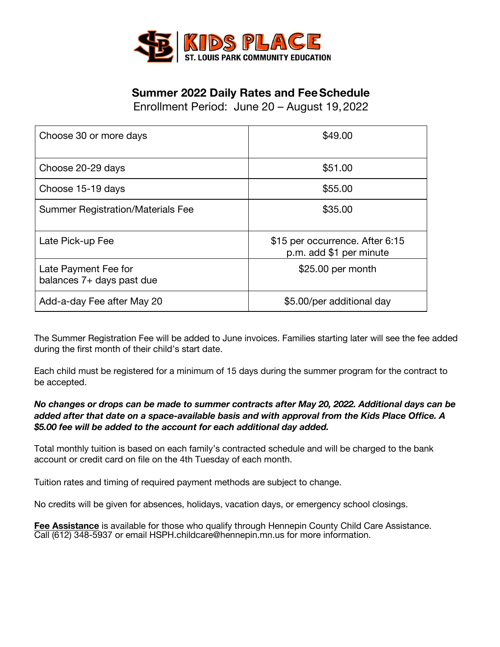

## **Summer 2022 Daily Rates and FeeSchedule**

Enrollment Period: June 20 – August 19,2022

| Choose 30 or more days                              | \$49.00                                                    |
|-----------------------------------------------------|------------------------------------------------------------|
| Choose 20-29 days                                   | \$51.00                                                    |
| Choose 15-19 days                                   | \$55.00                                                    |
| <b>Summer Registration/Materials Fee</b>            | \$35.00                                                    |
| Late Pick-up Fee                                    | \$15 per occurrence. After 6:15<br>p.m. add \$1 per minute |
| Late Payment Fee for<br>balances $7+$ days past due | \$25.00 per month                                          |
| Add-a-day Fee after May 20                          | \$5.00/per additional day                                  |

The Summer Registration Fee will be added to June invoices. Families starting later will see the fee added during the first month of their child's start date.

Each child must be registered for a minimum of 15 days during the summer program for the contract to be accepted.

## *No changes or drops can be made to summer contracts after May 20, 2022. Additional days can be added after that date on a space-available basis and with approval from the Kids Place Office. A \$5.00 fee will be added to the account for each additional day added.*

Total monthly tuition is based on each family's contracted schedule and will be charged to the bank account or credit card on file on the 4th Tuesday of each month.

Tuition rates and timing of required payment methods are subject to change.

No credits will be given for absences, holidays, vacation days, or emergency school closings.

**Fee Assistance** is available for those who qualify through Hennepin County Child Care Assistance. Call (612) 348-5937 or email HSPH.childcare@hennepin.mn.us for more information.